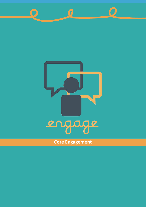

 $\bigcirc$ 

 $\bigcap$ 

### **Core Engagement**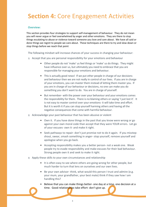## **Section 4:** Core Engagement Activities

#### **Overview:**

This section provides four strategies to support self-management of behaviour. They do not mean you will never argue or feel overwhelmed by anger and other emotions. They are there to stop things escalating to abuse or violence toward someone you love and care about. We have all said or done things we regret to people we care about. These techniques are there to try and slow down or stop things before we reach that point

The following mindset will increase chances of your success in changing your behaviour:

- 1) Accept that you are personal responsibility for your emotions and behaviour
	- Other people do not 'make' us feel things or 'make' us do things. They might have influence over us, but ultimately you need to embrace that you are responsible for managing your emotions and behaviour.
	- This is actually good news! If we put other people in charge of our decisions and behaviour then we are not really in control of our lives. If you are in charge of your emotions, you can master them instead of letting them master you. If you are in charge of our behaviour or decisions, no one can make you do something you don't want to do. You are in charge of yourself.
	- But remember- with the power over your behaviour and your emotions comes the responsibility for them. There is no blaming others or saying 'I just lost it'. It is not easy to master control over your emotions- it will take time and effort. But it is worth it if you can stop yourself harming others and having all the negative consequences that come with harmful behaviour.
- 2) Acknowledge your past behaviour that has been abusive or violent
	- Own it. If you have done things in the past that you know were wrong or go against your own moral code than accept that they were YOUR errors. Let go of your excuses- own it- and make it right.
	- Seek pathways to repair- don't just promise not to do it again. If you misstepshout, swear, smash something in anger- stop yourself, remove yourself and apologise when you go back.
	- Accepting responsibility makes you a better person- not a weak one. Weak people try to evade responsibility and make excuses for their bad behaviour. Strong people own it and seek to make it right.
- 3) Apply these skills to your own circumstances and relationship
	- It is often easy to see where others are going wrong for other people, but much harder to turn that lens on ourselves and our own lives.
	- Be your own advisor-think, what would this person I trust and admire (e.g. your mum, your grandfather, your best mate) think if they saw how I am handling this?
	- Believe that you can make things better- one day at a time, one decision at a time. Good relationships take effort- don't give up.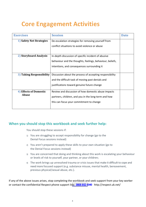## **Core Engagement Activities**

| <b>Exercises</b>                | <b>Session</b>                                                                                        | <b>Date</b> |
|---------------------------------|-------------------------------------------------------------------------------------------------------|-------------|
| 1) Safety Net Strategies        | De-escalation strategies for removing yourself from<br>conflict situations to avoid violence or abuse |             |
|                                 |                                                                                                       |             |
| 2) Storyboard Analysis          | In-depth discussion of specific incident of abusive                                                   |             |
|                                 | behaviour and the thoughts, feelings, behaviour, beliefs,                                             |             |
|                                 | intentions, and consequences surrounding it                                                           |             |
| 3) Taking Responsibility        | Discussion about the process of accepting responsibility                                              |             |
|                                 | and the difficult task of moving past denials and                                                     |             |
|                                 | justifications toward genuine future change                                                           |             |
| 4) Effects of Domestic<br>Abuse | Review and discussion of how domestic abuse impacts                                                   |             |
|                                 | partners, children, and you in the long-term and how                                                  |             |
|                                 | this can focus your commitment to change                                                              |             |

#### **When you should stop this workbook and seek further help:**

You should stop these sessions if:

- 1) You are struggling to accept responsibility for change (go to the Denial Focus sessions instead)
- 2) You aren't prepared to apply these skills to your own situation (go to the Denial Focus sessions instead)
- 3) You are concerned that doing and thinking about this work is escalating your behaviour or levels of risk to yourself, your partner, or your children;
- 4) The work brings up unresolved trauma or crisis issues that make it difficult to cope and need more focused support (e.g. substance misuse, mental health, bereavement, previous physical/sexual abuse, etc.).

If any of the above issues arises, stop completing the workbook and seek support from your key worker or contact the confidential Respect phone support line: **[0808 802 4](tel:0808%208010327)040** [http://respect.uk.net/](https://mensadviceline.org.uk/)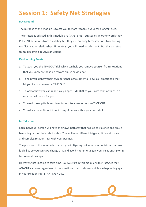## **Session 1: Safety Net Strategies**

#### **Background**

The purpose of this module is to get you to start recognise your own 'anger' cues.

The strategies advised in this module are 'SAFETY NET' strategies- in other words they PREVENT situations from escalating but they are not long term solutions to resolving conflict in your relationship. Ultimately, you will need to talk it out. But this can stop things becoming abusive or violent.

#### **Key Learning Points:**

- 1. To teach you the TIME OUT skill which can help you remove yourself from situations that you know are heading toward abuse or violence
- 2. To help you identify their own personal signals (mental, physical, emotional) that let you know you need a TIME OUT.
- 3. To look at how you can realistically apply TIME OUT to your own relationships in a way that will work for you.
- 4. To avoid those pitfalls and temptations to abuse or misuse TIME OUT.
- 5. To make a commitment to not using violence within your household.

#### **Introduction**

Each individual person will have their own pathway that has led to violence and abuse becoming part of their relationship. You will have different triggers, different issues, and complex relationships with your partner.

The purpose of this session is to assist you in figuring out what your individual pattern looks like so you can take charge of it and avoid it re-emerging in your relationship or in future relationships.

However, that is going to take time! So, we start in this module with strategies that ANYONE can use- regardless of the situation- to stop abuse or violence happening again in your relationship- STARTING NOW.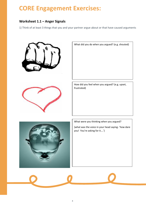## **CORE Engagement Exercises:**

#### **Worksheet 1.1 – Anger Signals**

1) Think of at least 3 things that you and your partner argue about or that have caused arguments

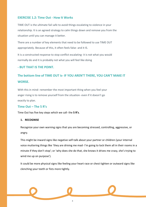#### **EXERCISE 1.2: Time Out - How It Works**

TIME OUT is the ultimate fail safe to avoid things escalating to violence in your relationship. It is an agreed strategy to calm things down and remove you from the situation until you can manage it better.

There are a number of key elements that need to be followed to use TIME OUT appropriately. Because of this, it often feels false- and it IS.

It is a constructed response to stop conflict escalating- it is not what you would normally do and it is probably not what you will feel like doing

#### **- BUT THAT IS THE POINT.**

### **The bottom line of TIME OUT is- IF YOU AREN'T THERE, YOU CAN'T MAKE IT WORSE.**

With this in mind- remember the most important thing when you feel your anger rising is to remove yourself from the situation- even if it doesn't go exactly to plan.

#### **Time Out – The 5 R's**

Time Out has five key steps which we call- the **5 R's**.

#### **1. RECOGNISE**

Recognize your own warning signs that you are becoming stressed, controlling, aggressive, or angry.

This might be inward signs like negative self-talk about your partner or children (your internal voice muttering things like 'they are driving me mad- I'm going to lock them all in their rooms in a minute if they don't stop'; or 'why does she do that, she knows it drives me crazy, she's trying to wind me up on purpose').

It could be more physical signs like feeling your heart race or chest tighten or outward signs like clenching your teeth or fists more tightly.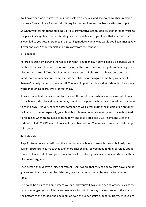We know when we are stressed- our body sets off a physical and psychological chain reaction that rolls forward like a freight train. It requires a conscious and deliberate effort to stop it.

So when you feel emotions building up- take preventative action- don't just let it roll forward to the place it always leads- often shouting, abuse, or violence. If you knew that a certain road always led to you getting trapped in a great big muddy swamp, why would you keep driving down it over and over? Stop yourself and turn away from the conflict.

#### **2. REFEREE**

Referee yourself by blowing the whistle on what is happening. You will need a deliberate word or phrase that calls time on the interaction or on the direction your thoughts are heading- the obvious one is to call **Time Out** but people use all sorts of phrases that have some personal significance or meaning for them. Parents and children often agree something comedic like 'banana' or 'jelly babies' as their word! The most important thing is that it shouldn't be a swear word or anything aggressive or threatening.

It is also important that everyone knows what the word means when someone uses it. It means that whatever the discussion, argument, situation- the person who uses the word needs a break to calm down. It is very hard to allow someone to walk away during the middle of an argumentbe it your partner or especially your child- but it is an emotionally mature and brave thing to do to recognize when things need to calm down and take a step back. So if someone uses the codeword- EVERYBODY needs to respect it and back off for 20 minutes to an hour to let things calm down.

#### **3. REMOVE**

Step 3 is to remove yourself from the situation as much as you are able. Now obviously the current circumstances make that even more challenging. So you need to think carefully about this and plan ahead. It's no good trying to enact this strategy when you are already in the thick of a heated argument.

Each person should have a 'place of retreat'- somewhere that they can go to calm down and be guaranteed that they won't be disturbed, interrupted or bothered by anyone for a period of time.

This could be a place at home where you can lock yourself away for a period of time such as the bathroom or garage. It might be somewhere a bit out of the way of everyone such the shed at the bottom of the garden, the box room or even the under-stairs cupboard. However, if you're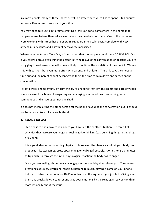like most people, many of these spaces aren't in a state where you'd like to spend 3 full minutes, let alone 20 minutes to an hour of your time!

You may need to invest a bit of time creating a 'chill-out zone' somewhere in the home that people can use to take themselves away when they need a bit of space. One of the mums we were working with turned her under-stairs cupboard into a calm oasis, complete with cosy armchair, fairy lights, and a stash of her favorite magazines.

When someone takes a Time Out, it is important that the people around them DO NOT FOLLOW. If you follow because you think the person is trying to avoid the conversation or because you are struggling to walk away yourself, you are likely to continue the escalation of the conflict. We see this with partners but even more often with parents and children. The child says they need a time out and the parent cannot accept giving them the time to calm down and carries on the conversation.

For it to work, and to effectively calm things, you need to treat it with respect and back off when someone asks for a break. Recognizing and managing your emotions is something to be commended and encouraged- not punished.

It does not mean letting the other person off the hook or avoiding the conversation-but it should not be returned to until you are both calm.

#### **4. RELAX & REFLECT**

Step one is to find a way to relax once you have left the conflict situation. Be careful of activities that increase your anger or fuel negative thinking (e.g. punching things, using drugs or alcohol).

It is a good idea to do something physical to burn away the chemical cocktail your body has produced- like star jumps, press ups, running or walking if possible. Do this for 2-10 minutes to try and burn through the initial physiological reaction the body has to anger.

Once you are feeling a bit more calm, engage in some activity that relaxes you. You can try breathing exercises, stretching, reading, listening to music, playing a game on your phonebut try to distract your brain for 10-15 minutes from the argument you just left. Giving your brain this break allows it to reset and grab your emotions by the reins again so you can think more rationally about the issue.

6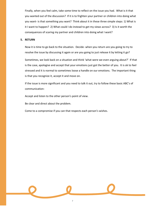Finally, when you feel calm, take some time to reflect on the issue you had. What is it that you wanted out of the discussion? If it is to frighten your partner or children into doing what you want- is that something you want? Think about it in these three simple steps: 1) What is it I want to happen? 2) What could I do instead to get my views across? 3) Is it worth the consequences of scaring my partner and children into doing what I want?

#### **5. RETURN**

Now it is time to go back to the situation. Decide- when you return are you going to try to resolve the issue by discussing it again or are you going to just release it by letting it go?

Sometimes, we look back on a situation and think 'what were we even arguing about?' If that is the case, apologise and accept that your emotions just got the better of you. It is ok to feel stressed and it is normal to sometimes loose a handle on our emotions. The important thing is that you recognize it, accept it and move on.

If the issue is more significant and you need to talk it out, try to follow these basic ABC's of communication:

Accept and listen to the other person's point of view.

Be clear and direct about the problem.

Come to a compromise if you can that respects each person's wishes.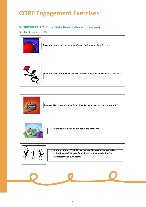## **CORE Engagement Exercises:**

#### **WORKSHEET 1.2: Time Out - How It Works (print me)**

Time Out: Remember the 5 R's









**Relax: How could you** *Calm down and chill out?*

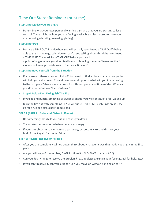### Time Out Steps: Reminder (print me)

#### **Step 1: Recognise you are angry**

• Determine what your own personal warning signs are that you are starting to lose control. These might be how you are feeling (shaky, breathless, upset) or how you are behaving (shouting, swearing, glaring).

#### **Step 2: Referee**

• Declare a TIME OUT. Practice how you will actually say- 'I need a TIME OUT'- being able to say 'I have to go calm down- I can't keep talking about this right now, I need a TIME OUT'. Try to ask for a TIME OUT before you reach a point of anger where you don't feel in control- telling someone 'Leave me the f... alone is not an appropriate way to 'declare a time out'.

#### **Step 3: Remove Yourself from the Situation**

- If you are not there, you can't kick off. You need to find a place that you can go that will help you calm down. Try and have several options- what will you if you can't go to the first place? (have some backups for different places and times of day) What can you do if someone won't let you leave?
- **• Step 4: Relax- First Extinguish The Fire**
- If you go and punch something or swear or shout- you will continue to feel wound up
- Burn the fire out with something PHYSICAL but NOT VIOLENT- push-ups/ press-ups/ go for a run or a stress ball/ doodle pad

#### **STEP 4 (PART 2): Relax and Distract (30 min)**

- Do something that chills you out and calms you down
- Try to take your mind off whatever made you angry
- If you start obsessing on what made you angry, purposefully try and distract your brain from it again for the full 30 min.

#### **STEP 5: Revisit - Resolve or Release**

- After you are completely calmed down, think about whatever it was that made you angry in the first place.
- Are you still angry? (remember, ANGER is fine- it is VIOLENCE that is not OK)
- Can you do anything to resolve the problem? (e.g. apologise, explain your feelings, ask for help, etc.)
- If you can't resolve it, can you let it go? Can you move on without hanging on to it?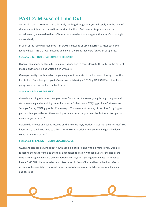### **PART 2: Misuse of Time Out**

A critical aspect of TIME OUT is realistically thinking through how you will apply it in the heat of the moment. It is a constructed interruption- it will not feel natural. To prepare yourself to actually use it, you need to think of hurdles or obstacles that may get in the way of you using it appropriately.

In each of the following scenarios, TIME OUT is misused or used incorrectly. After each one, identify how TIME OUT was misused and any of the steps that were forgotten or ignored.

#### **Scenario 1: GET OUT OF ARGUMENT FREE CARD**

Owen gets a phone call from his best mate asking him to come down to the pub, but he has just made plans to stay in and watch a film with Jess.

Owen picks a fight with Jess by complaining about the state of the house and having to put the kids to bed. Once Jess gets upset, Owen says he is having a 'f\*&^ing TIME OUT' and that he is going down the pub and will be back later.

#### **Scenario 2: PASSING THE BUCK**

Owen is watching tele when Jess gets home from work. She starts going through the post and starts swearing and mumbling under her breath. 'What's your f\*%\$ing problem?' Owen says. 'You, you're my f\*%\$ing problem!', she snaps. 'You never sort out any of the bills- I'm going to get two late penalties on these card payments because you can't be bothered to open a envelope you lazy sod!'

Owen rolls his eyes and keeps focused on the tele. He says, 'God Jess, just shut the f\*%\$ up!' 'You know what, I think you need to take a TIME OUT! Yeah, definitely- get out and go calm downcome in swearing at me.'

#### **Scenario 3: BREAKING THE NON-VIOLENCE CODE**

Owen and Jess are arguing about how much he is out drinking with his mates every week. It is costing them a fortune and she feels abandoned to get on with looking after the kids all the time. As the argument builds, Owen (appropriately) says he is getting too annoyed- he needs to have a TIME OUT. He turns to leave and Jess moves in front of him and blocks the door. 'Get out of my way' he says. When she won't move, he grabs her arms and pulls her away from the door and goes out.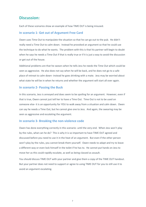### **Discussion:**

Each of these scenarios show an example of how TIME OUT is being misused.

#### **In scenario 1- Get out of Argument Free Card**

Owen uses Time Out to manipulate the situation so that he can go out to the pub. He didn't really need a Time Out to calm down. Instead he provoked an argument so that he could use the technique to do what he wants. The problem with this is that his partner will begin to doubt when he says he needs a Time Out if that is really true or if it is just a way to avoid the discussion or get out of the house.

Additional problems are that he swears when he tells Jess he needs the Time Out which could be seen as aggressive. He also does not say when he will be back, and he does not go to a safe place of retreat to calm down- instead he goes drinking with a mate. Jess may be worried about what state he will be in when he returns and whether the argument will start all over again.

#### **In scenario 2- Passing the Buck**

In this scenario, Jess is annoyed and does seem to be spoiling for an argument. However, even if that is true, Owen cannot just tell her to have a Time Out. Time Out is not to be used on someone else- it is an opportunity for YOU to walk away from a situation and calm down. Owen can say he needs a Time Out, but he cannot give one to Jess. And again, the swearing may be seen as aggressive and escalating the argument.

#### **In scenario 3- Breaking the non-violence code**

Owen has done everything correctly in this scenario- until the very end. When Jess won't play by the rules, what can he do? This is why it is so important to have TIME OUT agreed and discussed before you need to use it in the heat of an argument. But even if the other person won't play by the rules, you cannot break them yourself. Owen needs to adapt and try to leave a different way or even lock himself in the toilet if he has to. He cannot put hands on Jess to move her as this could rapidly escalate, as well as being classed as assault.

You should discuss TIME OUT with your partner and give them a copy of the TIME OUT handout. But your partner does not need to support or agree to using TIME OUT for you to still use it to avoid an argument escalating.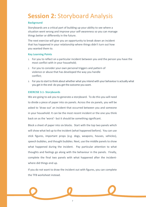## **Session 2:** Storyboard Analysis

#### **Background**

Storyboards are a critical part of building up your ability to see where a situation went wrong and improve your self-awareness so you can manage things better or differently in the future.

The next exercise will give you an opportunity to break down an incident that has happened in your relationship where things didn't turn out how you wanted them to.

#### **Key Learning Points**

- 1. For you to reflect on a particular incident between you and the person you have the most conflict with in your household;
- 2. For you to consider your own personal triggers and pattern of violence or abuse that has developed the way you handle conflict;
- 3. For you to start to think about whether what you intend with your behaviour is actually what you get in the end- do you get the outcome you want.

#### **EXERCISE 3.1- Storyboards**

We are going to ask you to generate a storyboard. To do this you will need to divide a piece of paper into six panels. Across the six panels, you will be asked to 'draw out' an incident that occurred between you and someone in your household. It can be the most recent incident or the one you think back on as the 'worst'- but it should be something significant.

Block a sheet of paper into six blocks. Start with the top two panels which will show what led up to the incident (what happened before). You can use stick figures, important props (e.g. dogs, weapons, houses, vehicles), speech bubbles, and thought bubbles. Next, use the middle panels to show what happened during the incident. Pay particular attention to what thoughts and feelings go along with the behaviour in the panels. Finally, complete the final two panels with what happened after the incidentwhere did things end up.

If you do not want to draw the incident out with figures, you can complete the TFB worksheet instead.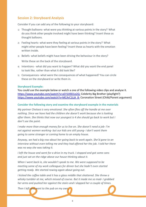#### **Session 2: Storyboard Analysis**

Consider if you can add any of the following to your storyboard:

- 1) Thought balloons- what were you thinking at various points in the story? What do you think other people involved might have been thinking? Insert these as thought balloons.
- 2) Feeling hearts- what were they feeling at various points in the story? What might other people have been feeling? Insert these as hearts with the emotion written inside.
- 3) Beliefs- what beliefs might have been driving the behaviour in the story?

Write these on the back of the storyboard.

- 4) Intentions what did you want to happen? What did you want the end panel to look like, rather than what it did look like?
- 5) Consequences- what were the consequences of what happened? You can circle these on the storyboard or write them in.

#### **Storyboard Example:**

You could use the example below or watch a one of the following video clips and analyse it. <https://www.youtube.com/watch?v=a5Y1X9D1e2Q-> Celebrity Big Brother (playfight?) [https://www.youtube.com/watch?v=MCArC1LjA\\_8-](https://www.youtube.com/watch?v=MCArC1LjA_8-) Coronation Street (Child/Parent argument)

#### **Consider the following story and examine the storyboard example in the materials**

*My partner Chelsea is very emotional. She often flies off the handle at me over nothing. Since we have had the children she doesn't work because she is looking after them. She thinks that now our youngest is 4 she should go back to work but I don't see the point.*

*I make more than enough money for us to live on. She doesn't need a job- I'm not against women working- but our kids are still young- I don't want them going to some stranger or coming home to an empty house.*

*Anyway, we had a big row about her going back to work again. She'd gone to an interview without even telling me and they had offered her the job. I told her there was no way she was taking it.*

*I left the house and went for a drive in my truck. I stopped and got some cans and just sat on the ridge above our house thinking about it.*

*When I went back in, she wouldn't speak to me. We were supposed to be meeting some of my work colleagues for dinner but she hadn't even started getting ready. We started rowing again about going out.*

*I kicked the coffee table and it has a glass middle that shattered. She threw a whisky tumbler at me, which missed of course. But it made me so mad- I grabbed her arms and pushed her against the stairs and I slapped her a couple of times.*

*Then I left and went to the pub on my own.*

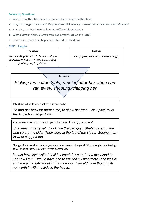#### **Follow Up Questions:**

- 1) Where were the children when this was happening? (on the stairs)
- 2) Why did you get the alcohol? Do you often drink when you are upset or have a row with Chelsea?
- 3) How do you think she felt when the coffee table smashed?
- 4) What did you think while you were sat in your truck on the ridge?
- 5) How do you think what happened affected the children?

#### **CBT triangle**

| <b>Thoughts</b>                                                                                                | <b>Feelings</b>                       |  |  |  |
|----------------------------------------------------------------------------------------------------------------|---------------------------------------|--|--|--|
| You're asking for a fight. How could you<br>go behind my back?!? You want a fight,<br>you're going to get one. | Hurt, upset, shocked, betrayed, angry |  |  |  |
|                                                                                                                |                                       |  |  |  |
|                                                                                                                | <b>Behaviour</b>                      |  |  |  |
| Kicking the coffee table, running after her when she                                                           |                                       |  |  |  |
| ran away, shouting / slapping her                                                                              |                                       |  |  |  |
|                                                                                                                |                                       |  |  |  |

**Intention:** What do you want the outcome to be?

*To hurt her back for hurting me, to show her that I was upset, to let her know how angry I was*

**Consequence:** What outcome do you think is most likely by your actions?

*She feels more upset. I look like the bad guy. She's scared of me and so are the kids. They were at the top of the stairs. Seeing them is what stopped me.*

**Change:** If it is not the outcome you want, how can you change it? What thoughts and feelings go with the outcome you want? What behaviours?

*I could have just waited until I calmed down and then explained to her how I felt. I would have had to just tell my workmates she was ill and leave it to talk about in the morning. I should have thought, its not worth it with the kids in the house.*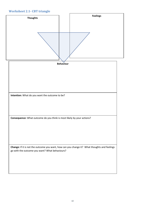#### **Worksheet 2.1- CBT triangle**

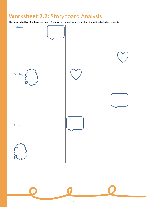## **Worksheet 2.2:** Storyboard Analysis

**Use speech bubbles for dialogue/ hearts for how you or partner were feeling/ thought bubbles for thoughts** 



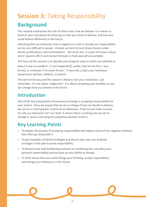## **Session 3:** Taking Responsibility **Background**

This module emphasises the role of choice over how we behave. It is meant to build on your storyboard by focusing on how you chose to behave, and how you could behave differently in the future.

Admitting that our behaviour that is negative or cruel is actually our responsibility can be very difficult to accept. Instead, we tend to bury these choices under denial, justifications, and minimisations. We all do this- it is part of human nature and it requires effort and mental fortitude to hold yourself accountable.

The focus of this session is to identify and recognise ways in which you attempt to deny ('it was an accident'; 'it just happened'), justify ('she hit me first; I was drunk), or minimise ('I've never hit her'; 'it was only a slap') your behaviour toward your partner, children, or parent.

This will not be easy and this session is likely to test your motivation. Just remember, it is not about 'judgement'- it is about accepting past mistakes so you can change how you behave in the future.

### **Introduction**

One of the key components of behavioural change is accepting responsibility for your actions. Once we accept that we are in charge of how we decide to behave, we can be in much greater control of our behaviour. If we try and make excuses for why our behaviour isn't our fault- it means there is nothing you can do to change it- quite a worrying and powerless position to be in.

## **Key Learning Points**

- 1. To explain the process of accepting responsibility and explore some of the negative emotions that often go along with it.
- 2. To give examples of denial strategies and discuss your own use of denial strategies in the past to avoid responsibility.
- 3. To demonstrate that by blaming someone or something else, you deny your personal responsibility and you give up your ability to change.
- 4. To think about how you could change your thinking, accept responsibility, and change your behaviour in the future.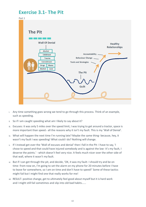### **Exercise 3.1- The Pit**



- i. Any time something goes wrong we tend to go through this process. Think of an example, such as speeding.
- ii. So if I am caught speeding what am I likely to say about it?
- iii. Excuses: it was only 5 miles over the speed limit, I was trying to get around a tractor, space is more important than speed.- all the reasons why it isn't my fault. This is my 'Wall of Denial'.
- iv. What will happen the next time I'm running late? Maybe the same thing- because, hey, it wasn't my fault I was speeding! What could I do? Nothing will change.
- v. If I instead get over the 'Wall of excuses and denial' then I fall in the Pit- I have to say, 'I chose to speed and that could have injured somebody and is against the law- it's my fault, I deserve the points.' - which doesn't feel very nice. It feels much nicer over the other side of that wall, where it wasn't my fault.
- vi. But if I can get through the pit, and decide, 'OK, it was my fault- I should try and be on time- from now on, I'm going to set the alarm on my phone for 20 minutes before I have to leave for somewhere, so I am on time and don't have to speed!' Some of these tactics might fail but I might find one that really works for me!
- vii. RESULT- positive change, get to ultimately feel good about myself but it is hard work and I might still fail sometimes and slip into old bad habits…...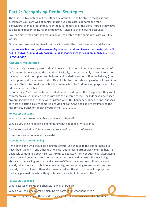### **Part 2: Recognising Denial Strategies**

The first step to climbing out the other side of the PIT is to be able to recognise and breakdown your own wall of denial. Imagine you are assessing someone for a behavioural change programme. Your job is to identify all of the denial hurdles they have to accepting responsibility for their behaviour. Listen to the following accounts:

(You can either read out the accounts or you can listen to the audio clips with your key worker)

Or you can show the interview from the clip used in the previous session and discuss:

[https://www.bing.com/videos/search?q=big+brother+interview+with+daley&docid=608](https://www.bing.com/videos/search?q=big+brother+interview+with+daley&docid=608043192658038082&mid=084005E2D4B48EFCFC6D084005E2D4B48EFCFC6D&view=detail&FORM=VIRE) [043192658038082&mid=084005E2D4B48EFCFC6D084005E2D4B48EFCFC6D&view=detai](https://www.bing.com/videos/search?q=big+brother+interview+with+daley&docid=608043192658038082&mid=084005E2D4B48EFCFC6D084005E2D4B48EFCFC6D&view=detail&FORM=VIRE) [l&FORM=VIRE](https://www.bing.com/videos/search?q=big+brother+interview+with+daley&docid=608043192658038082&mid=084005E2D4B48EFCFC6D084005E2D4B48EFCFC6D&view=detail&FORM=VIRE)

#### **Account A: Minimisation**

'I'm not really a violent person- I don't know what I'm doing here. I'm not some kind of wife-beater- it only happed the one time. Basically, I just accidentally shoved into her on my way past and she tripped and fell over and landed on some stuff in the hallway (the baby's pram and some boxes and stuff) which bruised her side and gave her a little cut on her face. She bruises really easy, but the police acted like I'd done it on purpose and like I'd nearly murdered her

or something. She's not really bothered about it- she dropped the charges, but they want to carry on 'cause I marked her. It's not like she's scared of me. The kids have never seen any arguing between us- they were upstairs when this happened. They are fine- but social services are acting like I'm some kind of violent b&^%\*\$d and like I've traumatised the kids for life. Bunch of rubbish if you ask me. ...................'

#### **Follow up Questions:**

What excuses make up this character's Wall of Denial?

Why do you think he might be minimising what happened? What's in it

for him to play it down? Do you recognise any of these sorts of excuses

from your own accounts/ storyboards?

#### **Account B: Partner –Blaming**

'I'm not the one who should be doing this group. She should be the one sat here. I've never been violent in any other relationship- but her last partner was violent to her. It's obviously something about her! I was trying to get away from her but she just kept going on and on and on at me- I told her to shut it but she wouldn't listen. She was being abusive to me- calling me thick and a needle-\*&%^- I mean come on! Now she's got exactly what she wants- a hold over me legally, and something to use against me over custody of the children. I think she threw herself on the stuff in the hall on purposeprobably planned the whole thing out- best prat-faller in three counties!'

#### **Follow up Questions:**

What excuses make up this character's Wall of Denial? Why do you think he might be blaming his partner for what happened? Do you recognise any of these sorts of excuses from your own accounts/ storyboards?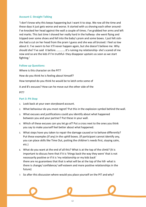#### **Account C: Straight Talking**

'I don't know why this keeps happening but I want it to stop. We row all the time and these days it just gets worse and worse. It started with us shoving each other around-I've knocked her head against the wall a couple of times. I've grabbed her arms and left red marks. This last time I shoved her really hard in the hallway- she went flying and tripped over some shoes and fell into the baby's pram and some boxes. I just felt sickshe had a cut on her head from the pram I guess and she was all bruised. I feel so low about it. I've sworn to her it'll never happen again, but she doesn't believe me. Why should she? I've said it before. ............It's ruining my relationship- she's scared of me now and so are the kids if I'm truthful- they disappear upstairs as soon as we start fighting.'

#### **Follow up Questions:**

Where is this character on the PIT? How do you think he is feeling about himself? How tempted do you think he would be to latch onto some of A and B's excuses? How can he move out the other side of the

PIT?

#### **Part 3: Pit Stop**

- 1. Look back at your own storyboard account.
- 2. What behaviour do you most regret? Put this in the explosion symbol behind the wall.
- 3. What excuses and justifications could you identify about what happened between you and your partner? Put these in your wall.
- 4. Which of these excuses can you let go of? Put a cross next to the ones you think you say to make yourself feel better about what happened.
- 5. What steps have you taken to repair the damage caused or to behave differently? Put these examples (if any) in the uphill boxes. (If participant cannot identify any, you can place skills like Time Out, putting the children's needs first, staying calm, etc.)
- 6. What do you want at the end of all this? What is at the top of the climb? (It is important to discuss here that if it is 'things back the way they were' that is not necessarily positive or if it is 'my relationship or my kids back' there are no guarantees that that is what will be at the top of the hill- what is there is change/ confidence/ self-esteem and more positive relationships in the future)
- 7. So after this discussion where would you place yourself on the PIT and why?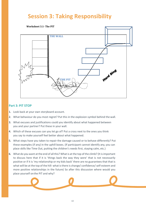## **Session 3: Taking Responsibility**

**Worksheet 3.1- The PIT**



#### **Part 3: PIT STOP**

- 1. Look back at your own storyboard account.
- 2. What behaviour do you most regret? Put this in the explosion symbol behind the wall.
- 3. What excuses and justifications could you identify about what happened between you and your partner? Put these in your wall.
- 4. Which of these excuses can you let go of? Put a cross next to the ones you think you say to make yourself feel better about what happened.
- 5. What steps have you taken to repair the damage caused or to behave differently? Put these examples (if any) in the uphill boxes. (If participant cannot identify any, you can place skills like Time Out, putting the children's needs first, staying calm, etc.)
- 6. What do you want at the end of all this? What is at the top of the climb? (It is important to discuss here that if it is 'things back the way they were' that is not necessarily positive or if it is 'my relationship or my kids back' there are no guarantees that that is what will be at the top of the hill- what is there is change/ confidence/ self-esteem and more positive relationships in the future) So after this discussion where would you place yourself onthe PIT and why?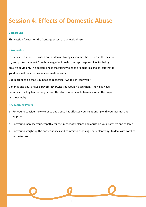## **Session 4: Effects of Domestic Abuse**

#### **Background**

This session focuses on the 'consequences' of domestic abuse.

#### **Introduction**

In the last session, we focused on the denial strategies you may have used in the past to try and protect yourself from how negative it feels to accept responsibility for being abusive or violent. The bottom line is that using violence or abuse is a choice- but that is good news- it means you can choose differently.

But in order to do that, you need to recognise- 'what is in it for you'?

Violence and abuse have a payoff- otherwise you wouldn't use them. They also have penalties. The key to choosing differently is for you to be able to measure up the payoff vs. the penalty.

#### **Key Learning Points**

- 1) For you to consider how violence and abuse has affected your relationship with your partner and children.
- 2) For you to increase your empathy for the impact of violence and abuse on your partners and children.
- 3) For you to weight up the consequences and commit to choosing non-violent ways to deal with conflict in the future

14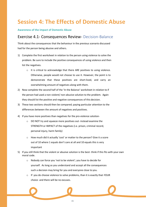## **Session 4: The Effects of Domestic Abuse**

#### **Awareness of the impact of Domestic Abuse**

### Exercise 4.1- Consequences Review-Decision-Balance

Think about the consequences that the behaviour in the previous scenario discussed had for the person being abusive and others.

- 1) Complete the first worksheet in relation to the person using violence to solve the problem. Be sure to include the positive consequences of using violence and then list the negatives.
	- o It is critical to acknowledge that there ARE positives to using violence. Otherwise, people would not choose to use it. However, the point is to demonstrate that these positives are short-lived, and carry an overwhelming amount of negatives along with them.
- 2) Now complete the second half of the 'In the Balance' worksheet in relation to if the person had used a non-violent/ non-abusive solution to the problem. Again they should list the positive and negative consequences of this decision.
- 3) These two sections should then be compared; paying particular attention to the differences between the amount of negatives and positives.
- 4) If you have more positives than negatives for the pro-violence solution
	- o DO NOT try and squeeze more positives out- instead examine the STRENGTH or IMPACT of the negatives (i.e. prison, criminal record, personal injury, harm family)
	- o How much did it actually 'cost' or matter to the person? Give it a score out of 10 where 1 equals don't care at all and 10 equals this is very important
- 5) If you still think that the violent or abusive solution is the best- think if this fits with your own moral code.
	- o Nobody can force you 'not to be violent'; you have to decide for yourself. As long as you understand and accept all the consequences such a decision may bring for you and everyone close to you.
	- If you do choose violence to solve problems, than it is exactly that-YOUR choice-and there will be no excuses.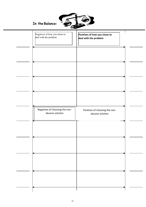

| Negatives of how you chose to<br>deal with the problem | Positives of how you chose to<br>deal with the problem |  |
|--------------------------------------------------------|--------------------------------------------------------|--|
|                                                        |                                                        |  |
|                                                        |                                                        |  |
|                                                        |                                                        |  |
| Negatives of choosing the non-<br>abusive solution     | Positives of choosing the non-<br>abusive solution     |  |
|                                                        |                                                        |  |
|                                                        |                                                        |  |
|                                                        |                                                        |  |
|                                                        |                                                        |  |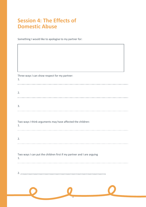### **Session 4: The Effects of Domestic Abuse**

Something I would like to apologise to my partner for:

Three ways I can show respect for my partner: 1. 2. 3. Two ways I think arguments may have affected the children: 1. 2. Two ways I can put the children first if my partner and I are arguing 1. 2. ………………………………………………………………………………………………………………

1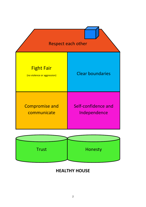



### **HEALTHY HOUSE**